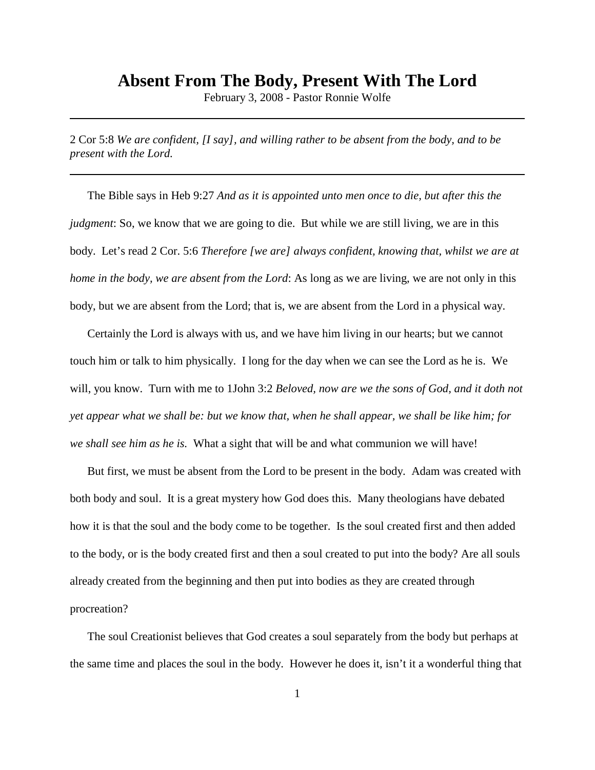## **Absent From The Body, Present With The Lord**

February 3, 2008 - Pastor Ronnie Wolfe

2 Cor 5:8 *We are confident, [I say], and willing rather to be absent from the body, and to be present with the Lord.*

The Bible says in Heb 9:27 *And as it is appointed unto men once to die, but after this the judgment*: So, we know that we are going to die. But while we are still living, we are in this body. Let's read 2 Cor. 5:6 *Therefore [we are] always confident, knowing that, whilst we are at home in the body, we are absent from the Lord*: As long as we are living, we are not only in this body, but we are absent from the Lord; that is, we are absent from the Lord in a physical way.

Certainly the Lord is always with us, and we have him living in our hearts; but we cannot touch him or talk to him physically. I long for the day when we can see the Lord as he is. We will, you know. Turn with me to 1John 3:2 *Beloved, now are we the sons of God, and it doth not yet appear what we shall be: but we know that, when he shall appear, we shall be like him; for we shall see him as he is.* What a sight that will be and what communion we will have!

But first, we must be absent from the Lord to be present in the body. Adam was created with both body and soul. It is a great mystery how God does this. Many theologians have debated how it is that the soul and the body come to be together. Is the soul created first and then added to the body, or is the body created first and then a soul created to put into the body? Are all souls already created from the beginning and then put into bodies as they are created through procreation?

The soul Creationist believes that God creates a soul separately from the body but perhaps at the same time and places the soul in the body. However he does it, isn't it a wonderful thing that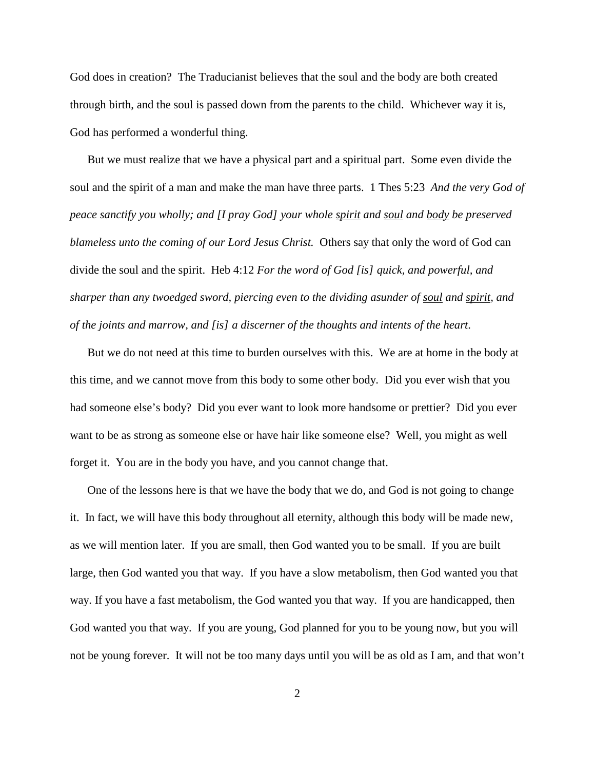God does in creation? The Traducianist believes that the soul and the body are both created through birth, and the soul is passed down from the parents to the child. Whichever way it is, God has performed a wonderful thing.

But we must realize that we have a physical part and a spiritual part. Some even divide the soul and the spirit of a man and make the man have three parts. 1 Thes 5:23 *And the very God of peace sanctify you wholly; and [I pray God] your whole spirit and soul and body be preserved blameless unto the coming of our Lord Jesus Christ.* Others say that only the word of God can divide the soul and the spirit. Heb 4:12 *For the word of God [is] quick, and powerful, and sharper than any twoedged sword, piercing even to the dividing asunder of soul and spirit, and of the joints and marrow, and [is] a discerner of the thoughts and intents of the heart*.

But we do not need at this time to burden ourselves with this. We are at home in the body at this time, and we cannot move from this body to some other body. Did you ever wish that you had someone else's body? Did you ever want to look more handsome or prettier? Did you ever want to be as strong as someone else or have hair like someone else? Well, you might as well forget it. You are in the body you have, and you cannot change that.

One of the lessons here is that we have the body that we do, and God is not going to change it. In fact, we will have this body throughout all eternity, although this body will be made new, as we will mention later. If you are small, then God wanted you to be small. If you are built large, then God wanted you that way. If you have a slow metabolism, then God wanted you that way. If you have a fast metabolism, the God wanted you that way. If you are handicapped, then God wanted you that way. If you are young, God planned for you to be young now, but you will not be young forever. It will not be too many days until you will be as old as I am, and that won't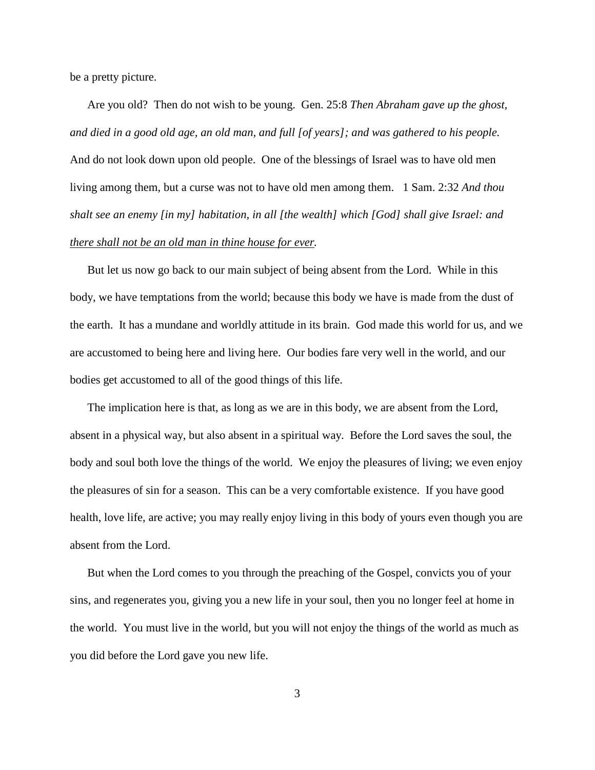be a pretty picture.

Are you old? Then do not wish to be young. Gen. 25:8 *Then Abraham gave up the ghost, and died in a good old age, an old man, and full [of years]; and was gathered to his people.* And do not look down upon old people. One of the blessings of Israel was to have old men living among them, but a curse was not to have old men among them. 1 Sam. 2:32 *And thou shalt see an enemy [in my] habitation, in all [the wealth] which [God] shall give Israel: and there shall not be an old man in thine house for ever.*

But let us now go back to our main subject of being absent from the Lord. While in this body, we have temptations from the world; because this body we have is made from the dust of the earth. It has a mundane and worldly attitude in its brain. God made this world for us, and we are accustomed to being here and living here. Our bodies fare very well in the world, and our bodies get accustomed to all of the good things of this life.

The implication here is that, as long as we are in this body, we are absent from the Lord, absent in a physical way, but also absent in a spiritual way. Before the Lord saves the soul, the body and soul both love the things of the world. We enjoy the pleasures of living; we even enjoy the pleasures of sin for a season. This can be a very comfortable existence. If you have good health, love life, are active; you may really enjoy living in this body of yours even though you are absent from the Lord.

But when the Lord comes to you through the preaching of the Gospel, convicts you of your sins, and regenerates you, giving you a new life in your soul, then you no longer feel at home in the world. You must live in the world, but you will not enjoy the things of the world as much as you did before the Lord gave you new life.

3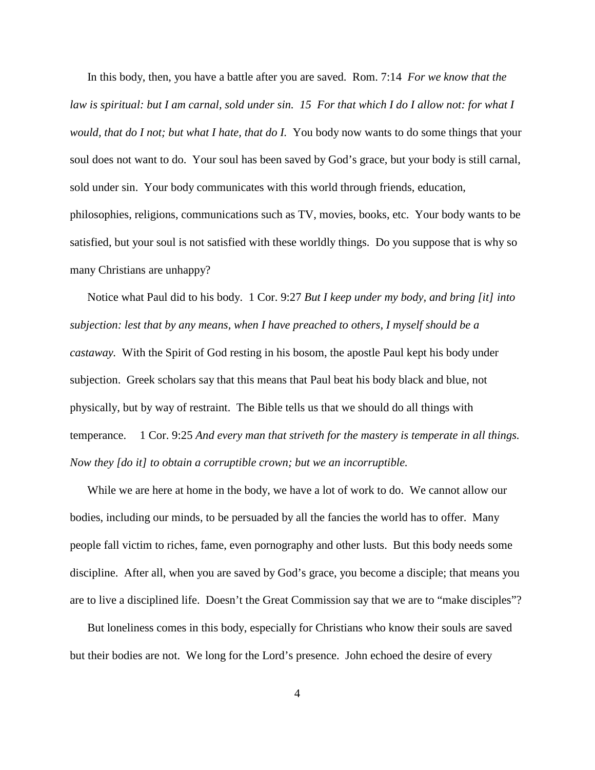In this body, then, you have a battle after you are saved. Rom. 7:14 *For we know that the law is spiritual: but I am carnal, sold under sin. 15 For that which I do I allow not: for what I would, that do I not; but what I hate, that do I. You body now wants to do some things that your* soul does not want to do. Your soul has been saved by God's grace, but your body is still carnal, sold under sin. Your body communicates with this world through friends, education, philosophies, religions, communications such as TV, movies, books, etc. Your body wants to be satisfied, but your soul is not satisfied with these worldly things. Do you suppose that is why so many Christians are unhappy?

Notice what Paul did to his body. 1 Cor. 9:27 *But I keep under my body, and bring [it] into subjection: lest that by any means, when I have preached to others, I myself should be a castaway.* With the Spirit of God resting in his bosom, the apostle Paul kept his body under subjection. Greek scholars say that this means that Paul beat his body black and blue, not physically, but by way of restraint. The Bible tells us that we should do all things with temperance. 1 Cor. 9:25 *And every man that striveth for the mastery is temperate in all things. Now they [do it] to obtain a corruptible crown; but we an incorruptible.*

While we are here at home in the body, we have a lot of work to do. We cannot allow our bodies, including our minds, to be persuaded by all the fancies the world has to offer. Many people fall victim to riches, fame, even pornography and other lusts. But this body needs some discipline. After all, when you are saved by God's grace, you become a disciple; that means you are to live a disciplined life. Doesn't the Great Commission say that we are to "make disciples"?

But loneliness comes in this body, especially for Christians who know their souls are saved but their bodies are not. We long for the Lord's presence. John echoed the desire of every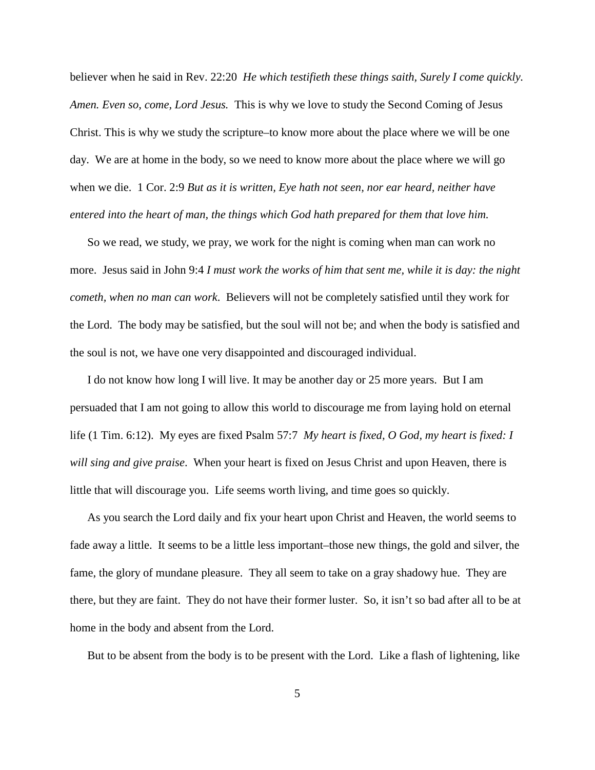believer when he said in Rev. 22:20 *He which testifieth these things saith, Surely I come quickly. Amen. Even so, come, Lord Jesus.* This is why we love to study the Second Coming of Jesus Christ. This is why we study the scripture–to know more about the place where we will be one day. We are at home in the body, so we need to know more about the place where we will go when we die. 1 Cor. 2:9 *But as it is written, Eye hath not seen, nor ear heard, neither have entered into the heart of man, the things which God hath prepared for them that love him.*

So we read, we study, we pray, we work for the night is coming when man can work no more. Jesus said in John 9:4 *I must work the works of him that sent me, while it is day: the night cometh, when no man can work*. Believers will not be completely satisfied until they work for the Lord. The body may be satisfied, but the soul will not be; and when the body is satisfied and the soul is not, we have one very disappointed and discouraged individual.

I do not know how long I will live. It may be another day or 25 more years. But I am persuaded that I am not going to allow this world to discourage me from laying hold on eternal life (1 Tim. 6:12). My eyes are fixed Psalm 57:7 *My heart is fixed, O God, my heart is fixed: I will sing and give praise*. When your heart is fixed on Jesus Christ and upon Heaven, there is little that will discourage you. Life seems worth living, and time goes so quickly.

As you search the Lord daily and fix your heart upon Christ and Heaven, the world seems to fade away a little. It seems to be a little less important–those new things, the gold and silver, the fame, the glory of mundane pleasure. They all seem to take on a gray shadowy hue. They are there, but they are faint. They do not have their former luster. So, it isn't so bad after all to be at home in the body and absent from the Lord.

But to be absent from the body is to be present with the Lord. Like a flash of lightening, like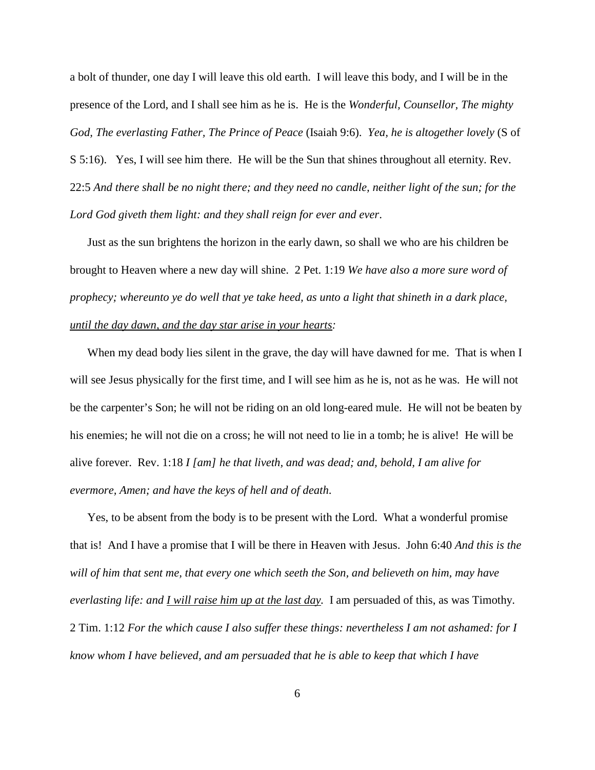a bolt of thunder, one day I will leave this old earth. I will leave this body, and I will be in the presence of the Lord, and I shall see him as he is. He is the *Wonderful, Counsellor, The mighty God, The everlasting Father, The Prince of Peace* (Isaiah 9:6). *Yea, he is altogether lovely* (S of S 5:16). Yes, I will see him there. He will be the Sun that shines throughout all eternity. Rev. 22:5 *And there shall be no night there; and they need no candle, neither light of the sun; for the Lord God giveth them light: and they shall reign for ever and ever*.

Just as the sun brightens the horizon in the early dawn, so shall we who are his children be brought to Heaven where a new day will shine. 2 Pet. 1:19 *We have also a more sure word of prophecy; whereunto ye do well that ye take heed, as unto a light that shineth in a dark place, until the day dawn, and the day star arise in your hearts:*

When my dead body lies silent in the grave, the day will have dawned for me. That is when I will see Jesus physically for the first time, and I will see him as he is, not as he was. He will not be the carpenter's Son; he will not be riding on an old long-eared mule. He will not be beaten by his enemies; he will not die on a cross; he will not need to lie in a tomb; he is alive! He will be alive forever. Rev. 1:18 *I [am] he that liveth, and was dead; and, behold, I am alive for evermore, Amen; and have the keys of hell and of death*.

Yes, to be absent from the body is to be present with the Lord. What a wonderful promise that is! And I have a promise that I will be there in Heaven with Jesus. John 6:40 *And this is the will of him that sent me, that every one which seeth the Son, and believeth on him, may have everlasting life: and I will raise him up at the last day.* I am persuaded of this, as was Timothy. 2 Tim. 1:12 *For the which cause I also suffer these things: nevertheless I am not ashamed: for I know whom I have believed, and am persuaded that he is able to keep that which I have*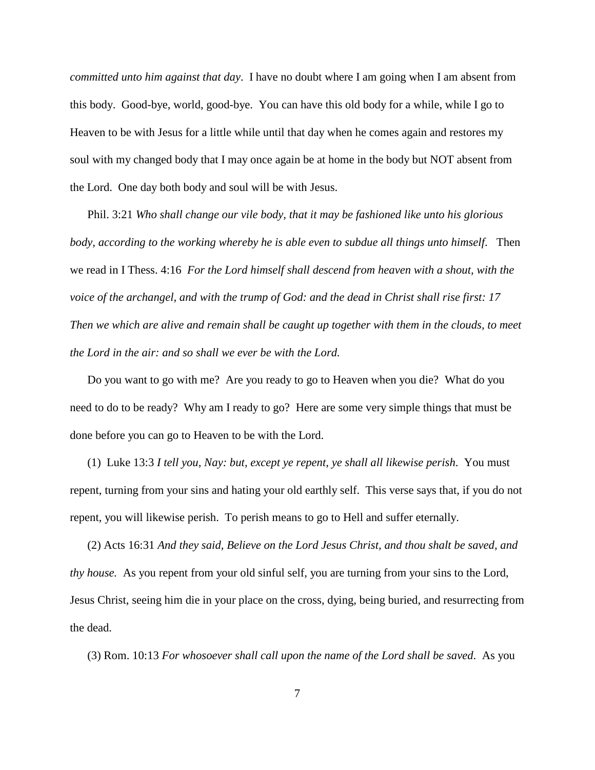*committed unto him against that day*. I have no doubt where I am going when I am absent from this body. Good-bye, world, good-bye. You can have this old body for a while, while I go to Heaven to be with Jesus for a little while until that day when he comes again and restores my soul with my changed body that I may once again be at home in the body but NOT absent from the Lord. One day both body and soul will be with Jesus.

Phil. 3:21 *Who shall change our vile body, that it may be fashioned like unto his glorious body, according to the working whereby he is able even to subdue all things unto himself*. Then we read in I Thess. 4:16 *For the Lord himself shall descend from heaven with a shout, with the voice of the archangel, and with the trump of God: and the dead in Christ shall rise first: 17 Then we which are alive and remain shall be caught up together with them in the clouds, to meet the Lord in the air: and so shall we ever be with the Lord.*

Do you want to go with me? Are you ready to go to Heaven when you die? What do you need to do to be ready? Why am I ready to go? Here are some very simple things that must be done before you can go to Heaven to be with the Lord.

(1) Luke 13:3 *I tell you, Nay: but, except ye repent, ye shall all likewise perish*. You must repent, turning from your sins and hating your old earthly self. This verse says that, if you do not repent, you will likewise perish. To perish means to go to Hell and suffer eternally.

(2) Acts 16:31 *And they said, Believe on the Lord Jesus Christ, and thou shalt be saved, and thy house.* As you repent from your old sinful self, you are turning from your sins to the Lord, Jesus Christ, seeing him die in your place on the cross, dying, being buried, and resurrecting from the dead.

(3) Rom. 10:13 *For whosoever shall call upon the name of the Lord shall be saved*. As you